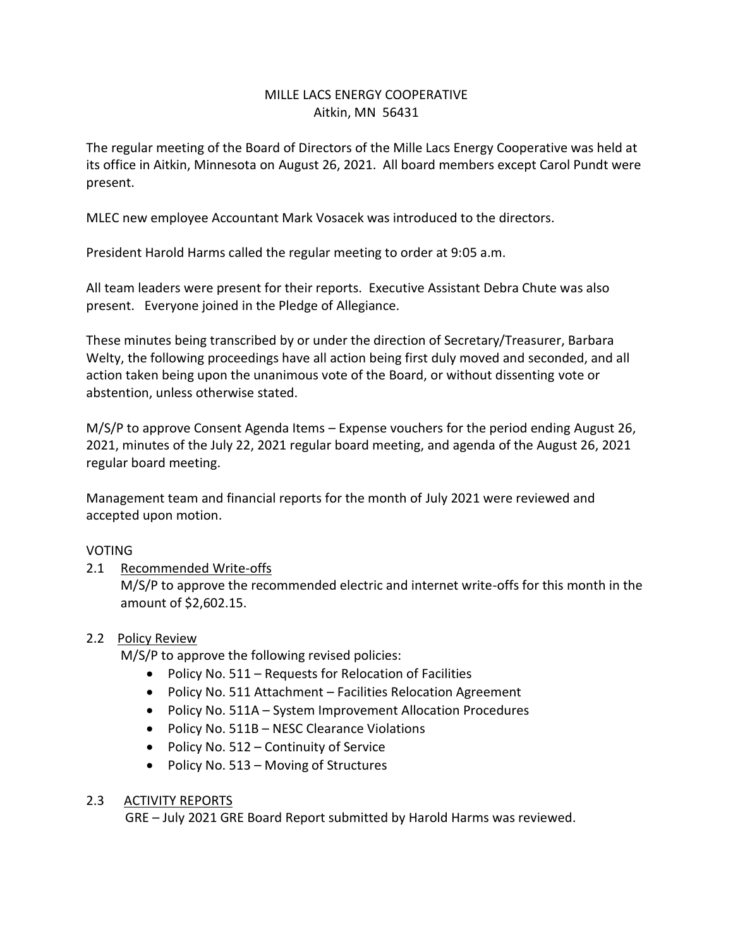# MILLE LACS ENERGY COOPERATIVE Aitkin, MN 56431

The regular meeting of the Board of Directors of the Mille Lacs Energy Cooperative was held at its office in Aitkin, Minnesota on August 26, 2021. All board members except Carol Pundt were present.

MLEC new employee Accountant Mark Vosacek was introduced to the directors.

President Harold Harms called the regular meeting to order at 9:05 a.m.

All team leaders were present for their reports. Executive Assistant Debra Chute was also present. Everyone joined in the Pledge of Allegiance.

These minutes being transcribed by or under the direction of Secretary/Treasurer, Barbara Welty, the following proceedings have all action being first duly moved and seconded, and all action taken being upon the unanimous vote of the Board, or without dissenting vote or abstention, unless otherwise stated.

M/S/P to approve Consent Agenda Items – Expense vouchers for the period ending August 26, 2021, minutes of the July 22, 2021 regular board meeting, and agenda of the August 26, 2021 regular board meeting.

Management team and financial reports for the month of July 2021 were reviewed and accepted upon motion.

### VOTING

### 2.1 Recommended Write-offs

M/S/P to approve the recommended electric and internet write-offs for this month in the amount of \$2,602.15.

### 2.2 Policy Review

M/S/P to approve the following revised policies:

- Policy No. 511 Requests for Relocation of Facilities
- Policy No. 511 Attachment Facilities Relocation Agreement
- Policy No. 511A System Improvement Allocation Procedures
- Policy No. 511B NESC Clearance Violations
- Policy No. 512 Continuity of Service
- Policy No. 513 Moving of Structures

#### 2.3 ACTIVITY REPORTS

GRE – July 2021 GRE Board Report submitted by Harold Harms was reviewed.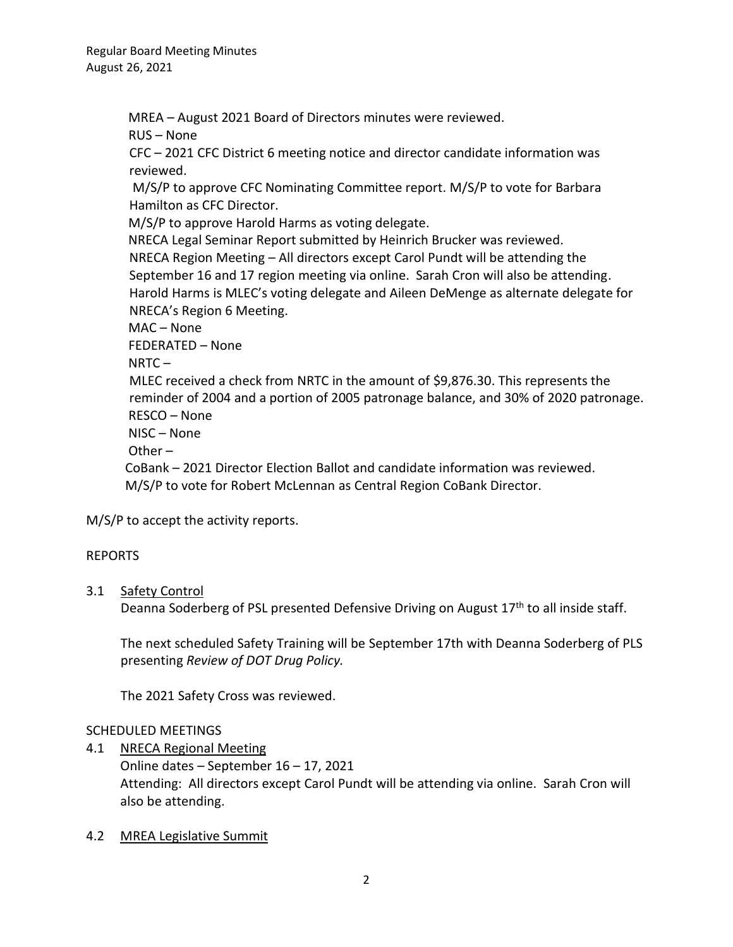MREA – August 2021 Board of Directors minutes were reviewed.

RUS – None

CFC – 2021 CFC District 6 meeting notice and director candidate information was reviewed.

M/S/P to approve CFC Nominating Committee report. M/S/P to vote for Barbara Hamilton as CFC Director.

M/S/P to approve Harold Harms as voting delegate.

NRECA Legal Seminar Report submitted by Heinrich Brucker was reviewed.

NRECA Region Meeting – All directors except Carol Pundt will be attending the September 16 and 17 region meeting via online. Sarah Cron will also be attending. Harold Harms is MLEC's voting delegate and Aileen DeMenge as alternate delegate for NRECA's Region 6 Meeting.

MAC – None

FEDERATED – None

 $NRTC -$ 

MLEC received a check from NRTC in the amount of \$9,876.30. This represents the reminder of 2004 and a portion of 2005 patronage balance, and 30% of 2020 patronage. RESCO – None

NISC – None

Other –

 CoBank – 2021 Director Election Ballot and candidate information was reviewed. M/S/P to vote for Robert McLennan as Central Region CoBank Director.

M/S/P to accept the activity reports.

# REPORTS

### 3.1 Safety Control

Deanna Soderberg of PSL presented Defensive Driving on August  $17<sup>th</sup>$  to all inside staff.

The next scheduled Safety Training will be September 17th with Deanna Soderberg of PLS presenting *Review of DOT Drug Policy.* 

The 2021 Safety Cross was reviewed.

# SCHEDULED MEETINGS

4.1 NRECA Regional Meeting

Online dates – September 16 – 17, 2021 Attending: All directors except Carol Pundt will be attending via online. Sarah Cron will also be attending.

### 4.2 MREA Legislative Summit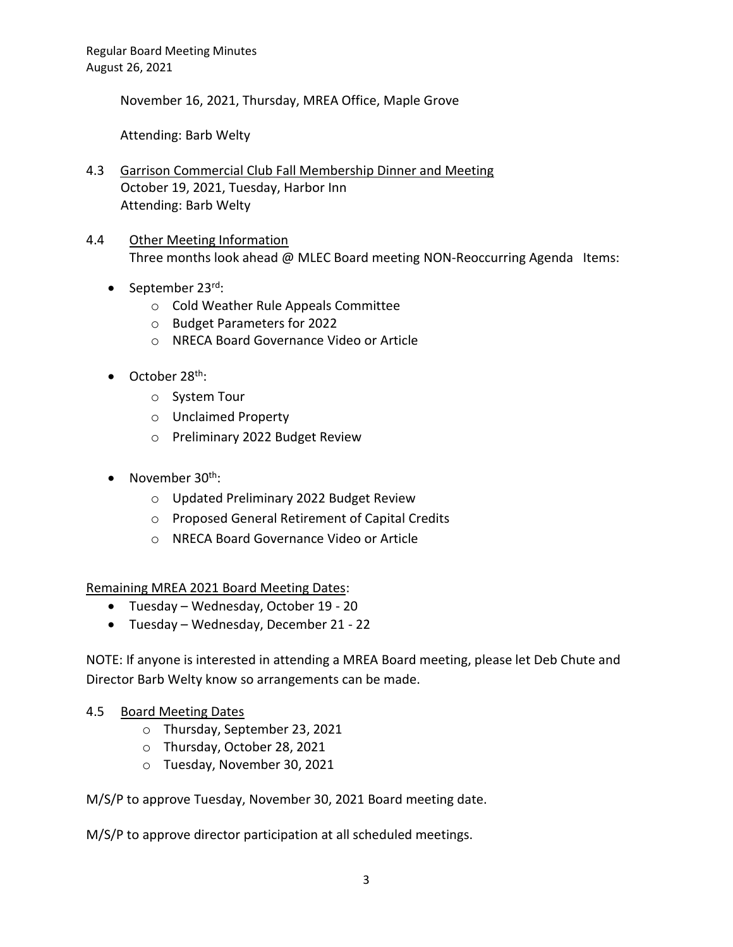November 16, 2021, Thursday, MREA Office, Maple Grove

Attending: Barb Welty

4.3 Garrison Commercial Club Fall Membership Dinner and Meeting October 19, 2021, Tuesday, Harbor Inn Attending: Barb Welty

### 4.4 Other Meeting Information Three months look ahead @ MLEC Board meeting NON-Reoccurring Agenda Items:

- September  $23^{\text{rd}}$ :
	- o Cold Weather Rule Appeals Committee
	- o Budget Parameters for 2022
	- o NRECA Board Governance Video or Article
- $\bullet$  October 28<sup>th</sup>:
	- o System Tour
	- o Unclaimed Property
	- o Preliminary 2022 Budget Review
- November  $30^{th}$ :
	- o Updated Preliminary 2022 Budget Review
	- o Proposed General Retirement of Capital Credits
	- o NRECA Board Governance Video or Article

Remaining MREA 2021 Board Meeting Dates:

- Tuesday Wednesday, October 19 20
- Tuesday Wednesday, December 21 22

NOTE: If anyone is interested in attending a MREA Board meeting, please let Deb Chute and Director Barb Welty know so arrangements can be made.

### 4.5 Board Meeting Dates

- o Thursday, September 23, 2021
- o Thursday, October 28, 2021
- o Tuesday, November 30, 2021

M/S/P to approve Tuesday, November 30, 2021 Board meeting date.

M/S/P to approve director participation at all scheduled meetings.